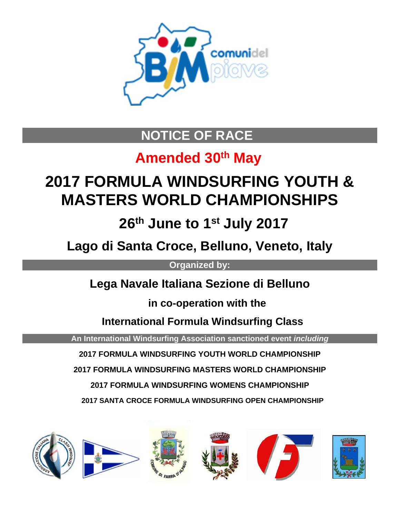

# **NOTICE OF RACE**

# **Amended 30th May**

# **2017 FORMULA WINDSURFING YOUTH & MASTERS WORLD CHAMPIONSHIPS**

 **26th June to 1st July 2017** 

**Lago di Santa Croce, Belluno, Veneto, Italy**

**Organized by:**

**Lega Navale Italiana Sezione di Belluno**

 **in co-operation with the**

 **International Formula Windsurfing Class**

**An International Windsurfing Association sanctioned event** *including*

**2017 FORMULA WINDSURFING YOUTH WORLD CHAMPIONSHIP**

**2017 FORMULA WINDSURFING MASTERS WORLD CHAMPIONSHIP**

**2017 FORMULA WINDSURFING WOMENS CHAMPIONSHIP**

 **2017 SANTA CROCE FORMULA WINDSURFING OPEN CHAMPIONSHIP**

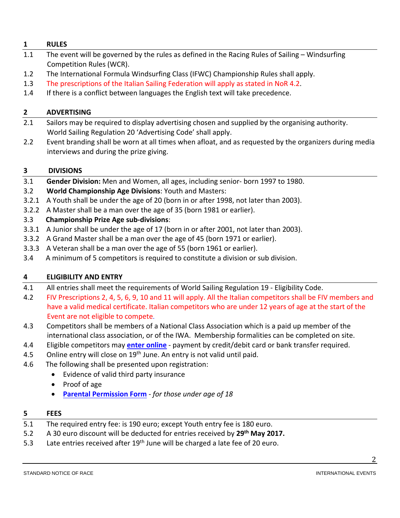# **1 RULES**

- 1.1 The event will be governed by the rules as defined in the Racing Rules of Sailing Windsurfing Competition Rules (WCR).
- 1.2 The International Formula Windsurfing Class (IFWC) Championship Rules shall apply.
- 1.3 The prescriptions of the Italian Sailing Federation will apply as stated in NoR 4.2.
- 1.4 If there is a conflict between languages the English text will take precedence.

# **2 ADVERTISING**

- 2.1 Sailors may be required to display advertising chosen and supplied by the organising authority. World Sailing Regulation 20 'Advertising Code' shall apply.
- 2.2 Event branding shall be worn at all times when afloat, and as requested by the organizers during media interviews and during the prize giving.

# **3 DIVISIONS**

- 3.1 **Gender Division:** Men and Women, all ages, including senior- born 1997 to 1980.
- 3.2 **World Championship Age Divisions**: Youth and Masters:
- 3.2.1 A Youth shall be under the age of 20 (born in or after 1998, not later than 2003).
- 3.2.2 A Master shall be a man over the age of 35 (born 1981 or earlier).

# 3.3 **Championship Prize Age sub-divisions**:

- 3.3.1 A Junior shall be under the age of 17 (born in or after 2001, not later than 2003).
- 3.3.2 A Grand Master shall be a man over the age of 45 (born 1971 or earlier).
- 3.3.3 A Veteran shall be a man over the age of 55 (born 1961 or earlier).
- 3.4 A minimum of 5 competitors is required to constitute a division or sub division.

# **4 ELIGIBILITY AND ENTRY**

- 4.1 All entries shall meet the requirements of World Sailing Regulation 19 Eligibility Code.
- 4.2 FIV Prescriptions 2, 4, 5, 6, 9, 10 and 11 will apply. All the Italian competitors shall be FIV members and have a valid medical certificate. Italian competitors who are under 12 years of age at the start of the Event are not eligible to compete.
- 4.3 Competitors shall be members of a National Class Association which is a paid up member of the international class association, or of the IWA. Membership formalities can be completed on site.
- 4.4 Eligible competitors may **enter [online](https://registration.internationalwindsurfing.com/en/events/register/id/93)** payment by credit/debit card or bank transfer required.
- 4.5 Online entry will close on  $19<sup>th</sup>$  June. An entry is not valid until paid.
- 4.6 The following shall be presented upon registration:
	- Evidence of valid third party insurance
	- Proof of age
	- **[Parental Permission Form](http://internationalwindsurfing.com/userfiles/documents/Parental_Permission_Form_FWYM_Worlds_2017_Italy.pdf)** *for those under age of 18*

## **5 FEES**

- 5.1 The required entry fee: is 190 euro; except Youth entry fee is 180 euro.
- 5.2 A 30 euro discount will be deducted for entries received by **29th May 2017.**
- 5.3 Late entries received after 19<sup>th</sup> June will be charged a late fee of 20 euro.

2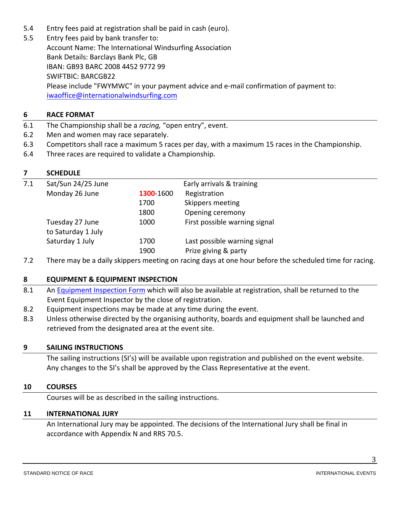- 5.4 Entry fees paid at registration shall be paid in cash (euro).
- 5.5 Entry fees paid by bank transfer to: Account Name: The International Windsurfing Association Bank Details: Barclays Bank Plc, GB IBAN: GB93 BARC 2008 4452 9772 99 SWIFTBIC: BARCGB22 Please include "FWYMWC" in your payment advice and e-mail confirmation of payment to: [iwaoffice@internationalwindsurfing.com](mailto:iwaoffice@internationalwindsurfing.com)

## **6 RACE FORMAT**

- 6.1 The Championship shall be a *racing,* "open entry", event.
- 6.2 Men and women may race separately.
- 6.3 Competitors shall race a maximum 5 races per day, with a maximum 15 races in the Championship.
- 6.4 Three races are required to validate a Championship.

## **7 SCHEDULE**

| 7.1 | Sat/Sun 24/25 June |           | Early arrivals & training     |
|-----|--------------------|-----------|-------------------------------|
|     | Monday 26 June     | 1300 1600 | Registration                  |
|     |                    | 1700      | Skippers meeting              |
|     |                    | 1800      | Opening ceremony              |
|     | Tuesday 27 June    | 1000      | First possible warning signal |
|     | to Saturday 1 July |           |                               |
|     | Saturday 1 July    | 1700      | Last possible warning signal  |
|     |                    | 1900      | Prize giving & party          |
|     |                    |           |                               |

7.2 There may be a daily skippers meeting on racing days at one hour before the scheduled time for racing.

## **8 EQUIPMENT & EQUIPMENT INSPECTION**

- 8.1 An [Equipment Inspection Form](https://form.jotform.com/70152823583960) which will also be available at registration, shall be returned to the Event Equipment Inspector by the close of registration.
- 8.2 Equipment inspections may be made at any time during the event.
- 8.3 Unless otherwise directed by the organising authority, boards and equipment shall be launched and retrieved from the designated area at the event site.

## **9 SAILING INSTRUCTIONS**

The sailing instructions (SI's) will be available upon registration and published on the event website. Any changes to the SI's shall be approved by the Class Representative at the event.

## **10 COURSES**

Courses will be as described in the sailing instructions.

## **11 INTERNATIONAL JURY**

An International Jury may be appointed. The decisions of the International Jury shall be final in accordance with Appendix N and RRS 70.5.

STANDARD NOTICE OF RACE **INTERNATIONAL EVENTS** 

3